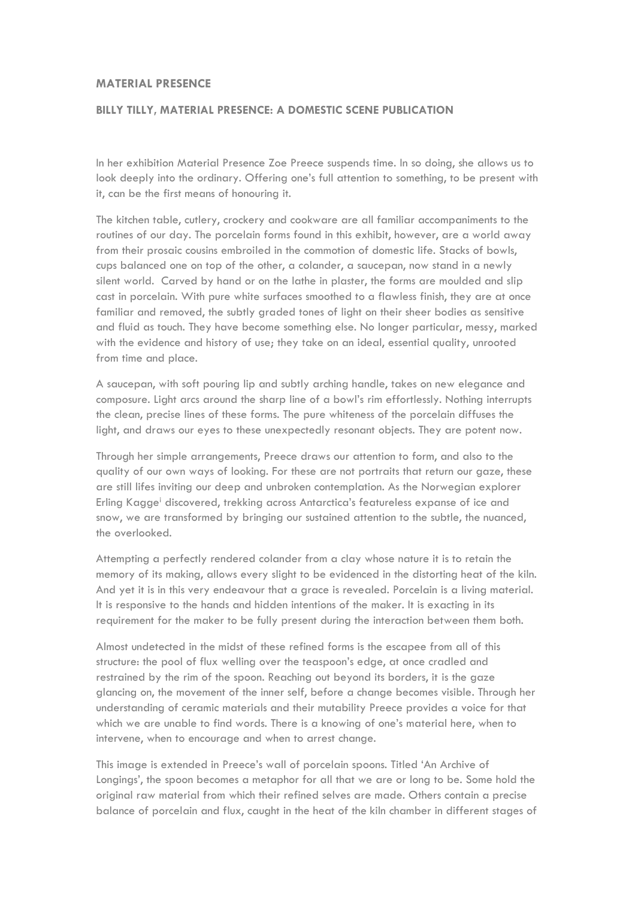## **MATERIAL PRESENCE**

## **BILLY TILLY, MATERIAL PRESENCE: A DOMESTIC SCENE PUBLICATION**

In her exhibition Material Presence Zoe Preece suspends time. In so doing, she allows us to look deeply into the ordinary. Offering one's full attention to something, to be present with it, can be the first means of honouring it.

The kitchen table, cutlery, crockery and cookware are all familiar accompaniments to the routines of our day. The porcelain forms found in this exhibit, however, are a world away from their prosaic cousins embroiled in the commotion of domestic life. Stacks of bowls, cups balanced one on top of the other, a colander, a saucepan, now stand in a newly silent world. Carved by hand or on the lathe in plaster, the forms are moulded and slip cast in porcelain. With pure white surfaces smoothed to a flawless finish, they are at once familiar and removed, the subtly graded tones of light on their sheer bodies as sensitive and fluid as touch. They have become something else. No longer particular, messy, marked with the evidence and history of use; they take on an ideal, essential quality, unrooted from time and place.

A saucepan, with soft pouring lip and subtly arching handle, takes on new elegance and composure. Light arcs around the sharp line of a bowl's rim effortlessly. Nothing interrupts the clean, precise lines of these forms. The pure whiteness of the porcelain diffuses the light, and draws our eyes to these unexpectedly resonant objects. They are potent now.

Through her simple arrangements, Preece draws our attention to form, and also to the quality of our own ways of looking. For these are not portraits that return our gaze, these are still lifes inviting our deep and unbroken contemplation. As the Norwegian explorer Erling Kagge<sup>i</sup> discovered, trekking across Antarctica's featureless expanse of ice and snow, we are transformed by bringing our sustained attention to the subtle, the nuanced, the overlooked.

Attempting a perfectly rendered colander from a clay whose nature it is to retain the memory of its making, allows every slight to be evidenced in the distorting heat of the kiln. And yet it is in this very endeavour that a grace is revealed. Porcelain is a living material. It is responsive to the hands and hidden intentions of the maker. It is exacting in its requirement for the maker to be fully present during the interaction between them both.

Almost undetected in the midst of these refined forms is the escapee from all of this structure: the pool of flux welling over the teaspoon's edge, at once cradled and restrained by the rim of the spoon. Reaching out beyond its borders, it is the gaze glancing on, the movement of the inner self, before a change becomes visible. Through her understanding of ceramic materials and their mutability Preece provides a voice for that which we are unable to find words. There is a knowing of one's material here, when to intervene, when to encourage and when to arrest change.

This image is extended in Preece's wall of porcelain spoons. Titled 'An Archive of Longings', the spoon becomes a metaphor for all that we are or long to be. Some hold the original raw material from which their refined selves are made. Others contain a precise balance of porcelain and flux, caught in the heat of the kiln chamber in different stages of